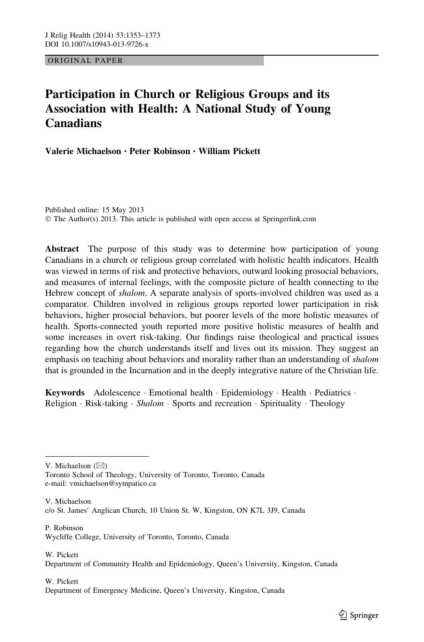ORIGINAL PAPER

# Participation in Church or Religious Groups and its Association with Health: A National Study of Young Canadians

Valerie Michaelson • Peter Robinson • William Pickett

Published online: 15 May 2013 © The Author(s) 2013. This article is published with open access at Springerlink.com

Abstract The purpose of this study was to determine how participation of young Canadians in a church or religious group correlated with holistic health indicators. Health was viewed in terms of risk and protective behaviors, outward looking prosocial behaviors, and measures of internal feelings, with the composite picture of health connecting to the Hebrew concept of *shalom*. A separate analysis of sports-involved children was used as a comparator. Children involved in religious groups reported lower participation in risk behaviors, higher prosocial behaviors, but poorer levels of the more holistic measures of health. Sports-connected youth reported more positive holistic measures of health and some increases in overt risk-taking. Our findings raise theological and practical issues regarding how the church understands itself and lives out its mission. They suggest an emphasis on teaching about behaviors and morality rather than an understanding of *shalom* that is grounded in the Incarnation and in the deeply integrative nature of the Christian life.

Keywords Adolescence · Emotional health · Epidemiology · Health · Pediatrics · Religion · Risk-taking · Shalom · Sports and recreation · Spirituality · Theology

V. Michaelson  $(\boxtimes)$ 

Toronto School of Theology, University of Toronto, Toronto, Canada e-mail: vmichaelson@sympatico.ca

V. Michaelson c/o St. James' Anglican Church, 10 Union St. W, Kingston, ON K7L 3J9, Canada

P. Robinson Wycliffe College, University of Toronto, Toronto, Canada

W. Pickett Department of Community Health and Epidemiology, Queen's University, Kingston, Canada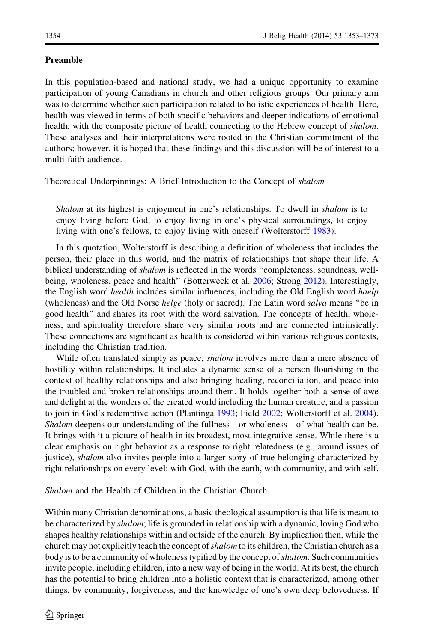## Preamble

In this population-based and national study, we had a unique opportunity to examine participation of young Canadians in church and other religious groups. Our primary aim was to determine whether such participation related to holistic experiences of health. Here, health was viewed in terms of both specific behaviors and deeper indications of emotional health, with the composite picture of health connecting to the Hebrew concept of *shalom*. These analyses and their interpretations were rooted in the Christian commitment of the authors; however, it is hoped that these findings and this discussion will be of interest to a multi-faith audience.

Theoretical Underpinnings: A Brief Introduction to the Concept of shalom

Shalom at its highest is enjoyment in one's relationships. To dwell in shalom is to enjoy living before God, to enjoy living in one's physical surroundings, to enjoy living with one's fellows, to enjoy living with oneself (Wolterstorff [1983](#page-20-0)).

In this quotation, Wolterstorff is describing a definition of wholeness that includes the person, their place in this world, and the matrix of relationships that shape their life. A biblical understanding of *shalom* is reflected in the words "completeness, soundness, well-being, wholeness, peace and health" (Botterweck et al. [2006](#page-19-0); Strong [2012\)](#page-20-0). Interestingly, the English word *health* includes similar influences, including the Old English word *haelp* (wholeness) and the Old Norse *helge* (holy or sacred). The Latin word *salva* means "be in good health'' and shares its root with the word salvation. The concepts of health, wholeness, and spirituality therefore share very similar roots and are connected intrinsically. These connections are significant as health is considered within various religious contexts, including the Christian tradition.

While often translated simply as peace, *shalom* involves more than a mere absence of hostility within relationships. It includes a dynamic sense of a person flourishing in the context of healthy relationships and also bringing healing, reconciliation, and peace into the troubled and broken relationships around them. It holds together both a sense of awe and delight at the wonders of the created world including the human creature, and a passion to join in God's redemptive action (Plantinga [1993;](#page-20-0) Field [2002;](#page-19-0) Wolterstorff et al. [2004](#page-20-0)). Shalom deepens our understanding of the fullness—or wholeness—of what health can be. It brings with it a picture of health in its broadest, most integrative sense. While there is a clear emphasis on right behavior as a response to right relatedness (e.g., around issues of justice), *shalom* also invites people into a larger story of true belonging characterized by right relationships on every level: with God, with the earth, with community, and with self.

Shalom and the Health of Children in the Christian Church

Within many Christian denominations, a basic theological assumption is that life is meant to be characterized by *shalom*; life is grounded in relationship with a dynamic, loving God who shapes healthy relationships within and outside of the church. By implication then, while the church may not explicitly teach the concept of *shalom* to its children, the Christian church as a body is to be a community of wholeness typified by the concept of *shalom*. Such communities invite people, including children, into a new way of being in the world. At its best, the church has the potential to bring children into a holistic context that is characterized, among other things, by community, forgiveness, and the knowledge of one's own deep belovedness. If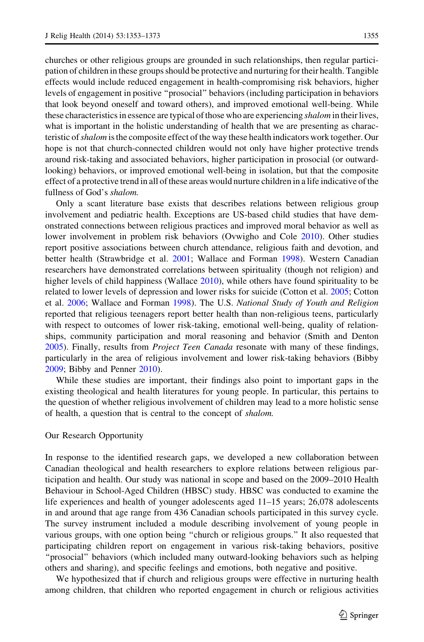churches or other religious groups are grounded in such relationships, then regular participation of children in these groups should be protective and nurturing for their health. Tangible effects would include reduced engagement in health-compromising risk behaviors, higher levels of engagement in positive ''prosocial'' behaviors (including participation in behaviors that look beyond oneself and toward others), and improved emotional well-being. While these characteristics in essence are typical of those who are experiencing *shalom* in their lives, what is important in the holistic understanding of health that we are presenting as characteristic of shalom is the composite effect of the way these health indicators work together. Our hope is not that church-connected children would not only have higher protective trends around risk-taking and associated behaviors, higher participation in prosocial (or outwardlooking) behaviors, or improved emotional well-being in isolation, but that the composite effect of a protective trend in all of these areas would nurture children in a life indicative of the fullness of God's shalom.

Only a scant literature base exists that describes relations between religious group involvement and pediatric health. Exceptions are US-based child studies that have demonstrated connections between religious practices and improved moral behavior as well as lower involvement in problem risk behaviors (Ovwigho and Cole [2010](#page-20-0)). Other studies report positive associations between church attendance, religious faith and devotion, and better health (Strawbridge et al. [2001;](#page-20-0) Wallace and Forman [1998\)](#page-20-0). Western Canadian researchers have demonstrated correlations between spirituality (though not religion) and higher levels of child happiness (Wallace [2010\)](#page-20-0), while others have found spirituality to be related to lower levels of depression and lower risks for suicide (Cotton et al. [2005;](#page-19-0) Cotton et al. [2006;](#page-19-0) Wallace and Forman [1998](#page-20-0)). The U.S. National Study of Youth and Religion reported that religious teenagers report better health than non-religious teens, particularly with respect to outcomes of lower risk-taking, emotional well-being, quality of relationships, community participation and moral reasoning and behavior (Smith and Denton [2005\)](#page-20-0). Finally, results from *Project Teen Canada* resonate with many of these findings, particularly in the area of religious involvement and lower risk-taking behaviors (Bibby [2009;](#page-19-0) Bibby and Penner [2010](#page-19-0)).

While these studies are important, their findings also point to important gaps in the existing theological and health literatures for young people. In particular, this pertains to the question of whether religious involvement of children may lead to a more holistic sense of health, a question that is central to the concept of shalom.

## Our Research Opportunity

In response to the identified research gaps, we developed a new collaboration between Canadian theological and health researchers to explore relations between religious participation and health. Our study was national in scope and based on the 2009–2010 Health Behaviour in School-Aged Children (HBSC) study. HBSC was conducted to examine the life experiences and health of younger adolescents aged 11–15 years; 26,078 adolescents in and around that age range from 436 Canadian schools participated in this survey cycle. The survey instrument included a module describing involvement of young people in various groups, with one option being ''church or religious groups.'' It also requested that participating children report on engagement in various risk-taking behaviors, positive ''prosocial'' behaviors (which included many outward-looking behaviors such as helping others and sharing), and specific feelings and emotions, both negative and positive.

We hypothesized that if church and religious groups were effective in nurturing health among children, that children who reported engagement in church or religious activities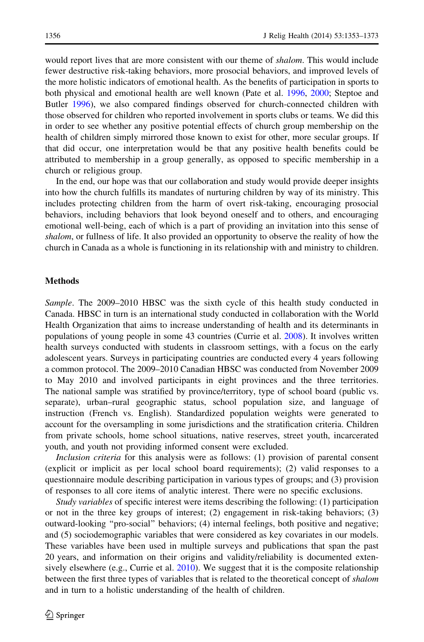would report lives that are more consistent with our theme of *shalom*. This would include fewer destructive risk-taking behaviors, more prosocial behaviors, and improved levels of the more holistic indicators of emotional health. As the benefits of participation in sports to both physical and emotional health are well known (Pate et al. [1996](#page-20-0), [2000;](#page-20-0) Steptoe and Butler [1996\)](#page-20-0), we also compared findings observed for church-connected children with those observed for children who reported involvement in sports clubs or teams. We did this in order to see whether any positive potential effects of church group membership on the health of children simply mirrored those known to exist for other, more secular groups. If that did occur, one interpretation would be that any positive health benefits could be attributed to membership in a group generally, as opposed to specific membership in a church or religious group.

In the end, our hope was that our collaboration and study would provide deeper insights into how the church fulfills its mandates of nurturing children by way of its ministry. This includes protecting children from the harm of overt risk-taking, encouraging prosocial behaviors, including behaviors that look beyond oneself and to others, and encouraging emotional well-being, each of which is a part of providing an invitation into this sense of shalom, or fullness of life. It also provided an opportunity to observe the reality of how the church in Canada as a whole is functioning in its relationship with and ministry to children.

#### **Methods**

Sample. The 2009–2010 HBSC was the sixth cycle of this health study conducted in Canada. HBSC in turn is an international study conducted in collaboration with the World Health Organization that aims to increase understanding of health and its determinants in populations of young people in some 43 countries (Currie et al. [2008\)](#page-19-0). It involves written health surveys conducted with students in classroom settings, with a focus on the early adolescent years. Surveys in participating countries are conducted every 4 years following a common protocol. The 2009–2010 Canadian HBSC was conducted from November 2009 to May 2010 and involved participants in eight provinces and the three territories. The national sample was stratified by province/territory, type of school board (public vs. separate), urban–rural geographic status, school population size, and language of instruction (French vs. English). Standardized population weights were generated to account for the oversampling in some jurisdictions and the stratification criteria. Children from private schools, home school situations, native reserves, street youth, incarcerated youth, and youth not providing informed consent were excluded.

Inclusion criteria for this analysis were as follows: (1) provision of parental consent (explicit or implicit as per local school board requirements); (2) valid responses to a questionnaire module describing participation in various types of groups; and (3) provision of responses to all core items of analytic interest. There were no specific exclusions.

Study variables of specific interest were items describing the following: (1) participation or not in the three key groups of interest; (2) engagement in risk-taking behaviors; (3) outward-looking ''pro-social'' behaviors; (4) internal feelings, both positive and negative; and (5) sociodemographic variables that were considered as key covariates in our models. These variables have been used in multiple surveys and publications that span the past 20 years, and information on their origins and validity/reliability is documented extensively elsewhere (e.g., Currie et al.  $2010$ ). We suggest that it is the composite relationship between the first three types of variables that is related to the theoretical concept of *shalom* and in turn to a holistic understanding of the health of children.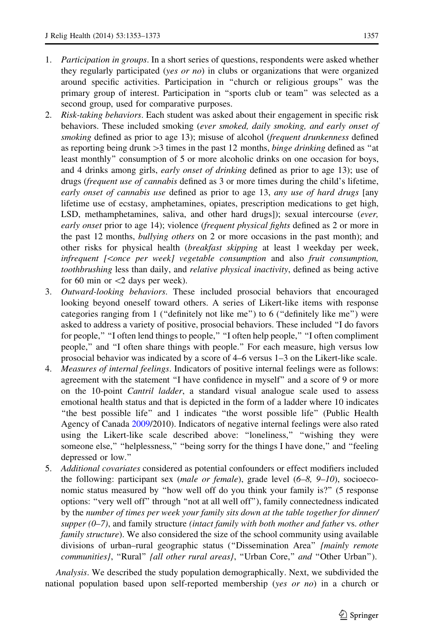- 1. Participation in groups. In a short series of questions, respondents were asked whether they regularly participated (yes or no) in clubs or organizations that were organized around specific activities. Participation in ''church or religious groups'' was the primary group of interest. Participation in ''sports club or team'' was selected as a second group, used for comparative purposes.
- 2. Risk-taking behaviors. Each student was asked about their engagement in specific risk behaviors. These included smoking (ever smoked, daily smoking, and early onset of smoking defined as prior to age 13); misuse of alcohol (frequent drunkenness defined as reporting being drunk  $>3$  times in the past 12 months, *binge drinking* defined as "at least monthly'' consumption of 5 or more alcoholic drinks on one occasion for boys, and 4 drinks among girls, early onset of drinking defined as prior to age 13); use of drugs (frequent use of cannabis defined as 3 or more times during the child's lifetime, early onset of cannabis use defined as prior to age 13, any use of hard drugs [any lifetime use of ecstasy, amphetamines, opiates, prescription medications to get high, LSD, methamphetamines, saliva, and other hard drugs]); sexual intercourse (ever, early onset prior to age 14); violence (frequent physical fights defined as 2 or more in the past 12 months, bullying others on 2 or more occasions in the past month); and other risks for physical health (breakfast skipping at least 1 weekday per week,  $infrequent$   $[*once per week] vegetable consumption* and also *fruit consumption*,$ toothbrushing less than daily, and relative physical inactivity, defined as being active for 60 min or  $\langle 2 \rangle$  days per week).
- 3. Outward-looking behaviors. These included prosocial behaviors that encouraged looking beyond oneself toward others. A series of Likert-like items with response categories ranging from 1 (''definitely not like me'') to 6 (''definitely like me'') were asked to address a variety of positive, prosocial behaviors. These included ''I do favors for people,'' ''I often lend things to people,'' ''I often help people,'' ''I often compliment people,'' and ''I often share things with people.'' For each measure, high versus low prosocial behavior was indicated by a score of 4–6 versus 1–3 on the Likert-like scale.
- 4. Measures of internal feelings. Indicators of positive internal feelings were as follows: agreement with the statement "I have confidence in myself" and a score of 9 or more on the 10-point Cantril ladder, a standard visual analogue scale used to assess emotional health status and that is depicted in the form of a ladder where 10 indicates ''the best possible life'' and 1 indicates ''the worst possible life'' (Public Health Agency of Canada [2009/](#page-19-0)2010). Indicators of negative internal feelings were also rated using the Likert-like scale described above: ''loneliness,'' ''wishing they were someone else," "helplessness," "being sorry for the things I have done," and "feeling depressed or low.''
- 5. Additional covariates considered as potential confounders or effect modifiers included the following: participant sex (male or female), grade level (6–8, 9–10), socioeconomic status measured by ''how well off do you think your family is?'' (5 response options: ''very well off'' through ''not at all well off''), family connectedness indicated by the number of times per week your family sits down at the table together for dinner/ supper  $(0-7)$ , and family structure (intact family with both mother and father vs. other family structure). We also considered the size of the school community using available divisions of urban–rural geographic status ("Dissemination Area" {mainly remote communities}, "Rural" {all other rural areas}, "Urban Core," and "Other Urban").

Analysis. We described the study population demographically. Next, we subdivided the national population based upon self-reported membership (yes or no) in a church or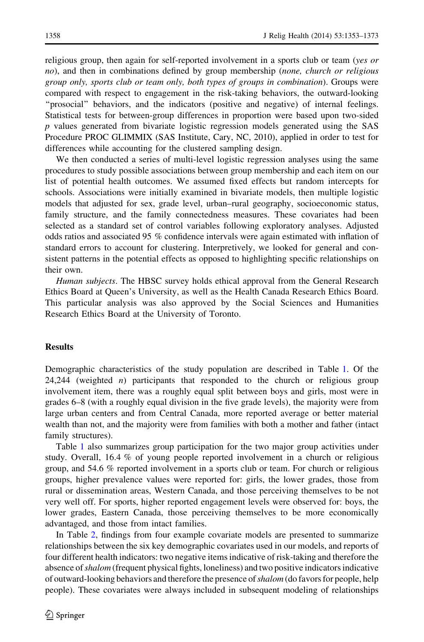religious group, then again for self-reported involvement in a sports club or team (yes or no), and then in combinations defined by group membership (none, church or religious group only, sports club or team only, both types of groups in combination). Groups were compared with respect to engagement in the risk-taking behaviors, the outward-looking ''prosocial'' behaviors, and the indicators (positive and negative) of internal feelings. Statistical tests for between-group differences in proportion were based upon two-sided p values generated from bivariate logistic regression models generated using the SAS Procedure PROC GLIMMIX (SAS Institute, Cary, NC, 2010), applied in order to test for differences while accounting for the clustered sampling design.

We then conducted a series of multi-level logistic regression analyses using the same procedures to study possible associations between group membership and each item on our list of potential health outcomes. We assumed fixed effects but random intercepts for schools. Associations were initially examined in bivariate models, then multiple logistic models that adjusted for sex, grade level, urban–rural geography, socioeconomic status, family structure, and the family connectedness measures. These covariates had been selected as a standard set of control variables following exploratory analyses. Adjusted odds ratios and associated 95 % confidence intervals were again estimated with inflation of standard errors to account for clustering. Interpretively, we looked for general and consistent patterns in the potential effects as opposed to highlighting specific relationships on their own.

Human subjects. The HBSC survey holds ethical approval from the General Research Ethics Board at Queen's University, as well as the Health Canada Research Ethics Board. This particular analysis was also approved by the Social Sciences and Humanities Research Ethics Board at the University of Toronto.

### **Results**

Demographic characteristics of the study population are described in Table [1](#page-6-0). Of the  $24,244$  (weighted *n*) participants that responded to the church or religious group involvement item, there was a roughly equal split between boys and girls, most were in grades 6–8 (with a roughly equal division in the five grade levels), the majority were from large urban centers and from Central Canada, more reported average or better material wealth than not, and the majority were from families with both a mother and father (intact family structures).

Table [1](#page-6-0) also summarizes group participation for the two major group activities under study. Overall, 16.4 % of young people reported involvement in a church or religious group, and 54.6 % reported involvement in a sports club or team. For church or religious groups, higher prevalence values were reported for: girls, the lower grades, those from rural or dissemination areas, Western Canada, and those perceiving themselves to be not very well off. For sports, higher reported engagement levels were observed for: boys, the lower grades, Eastern Canada, those perceiving themselves to be more economically advantaged, and those from intact families.

In Table [2](#page-7-0), findings from four example covariate models are presented to summarize relationships between the six key demographic covariates used in our models, and reports of four different health indicators: two negative items indicative of risk-taking and therefore the absence of *shalom* (frequent physical fights, loneliness) and two positive indicators indicative of outward-looking behaviors and therefore the presence of shalom (do favors for people, help people). These covariates were always included in subsequent modeling of relationships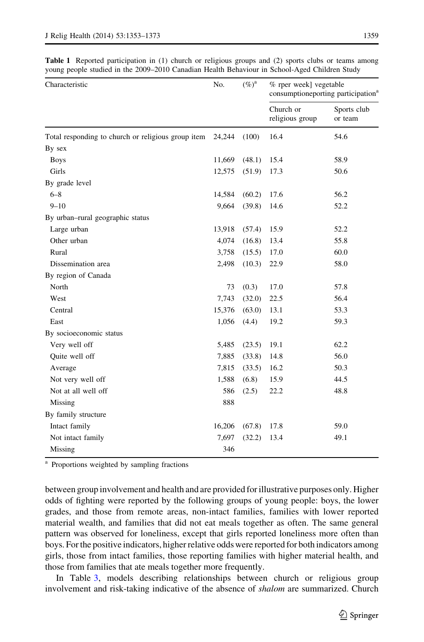| Characteristic                                     | No.    | $(\%)^a$ | % rper week] vegetable<br>consumptione porting participation <sup>a</sup> |                        |
|----------------------------------------------------|--------|----------|---------------------------------------------------------------------------|------------------------|
|                                                    |        |          | Church or<br>religious group                                              | Sports club<br>or team |
| Total responding to church or religious group item | 24,244 | (100)    | 16.4                                                                      | 54.6                   |
| By sex                                             |        |          |                                                                           |                        |
| <b>Boys</b>                                        | 11,669 | (48.1)   | 15.4                                                                      | 58.9                   |
| Girls                                              | 12,575 | (51.9)   | 17.3                                                                      | 50.6                   |
| By grade level                                     |        |          |                                                                           |                        |
| $6 - 8$                                            | 14,584 | (60.2)   | 17.6                                                                      | 56.2                   |
| $9 - 10$                                           | 9,664  | (39.8)   | 14.6                                                                      | 52.2                   |
| By urban-rural geographic status                   |        |          |                                                                           |                        |
| Large urban                                        | 13,918 | (57.4)   | 15.9                                                                      | 52.2                   |
| Other urban                                        | 4,074  | (16.8)   | 13.4                                                                      | 55.8                   |
| Rural                                              | 3,758  | (15.5)   | 17.0                                                                      | 60.0                   |
| Dissemination area                                 | 2,498  | (10.3)   | 22.9                                                                      | 58.0                   |
| By region of Canada                                |        |          |                                                                           |                        |
| North                                              | 73     | (0.3)    | 17.0                                                                      | 57.8                   |
| West                                               | 7,743  | (32.0)   | 22.5                                                                      | 56.4                   |
| Central                                            | 15,376 | (63.0)   | 13.1                                                                      | 53.3                   |
| East                                               | 1,056  | (4.4)    | 19.2                                                                      | 59.3                   |
| By socioeconomic status                            |        |          |                                                                           |                        |
| Very well off                                      | 5,485  | (23.5)   | 19.1                                                                      | 62.2                   |
| Quite well off                                     | 7,885  | (33.8)   | 14.8                                                                      | 56.0                   |
| Average                                            | 7,815  | (33.5)   | 16.2                                                                      | 50.3                   |
| Not very well off                                  | 1,588  | (6.8)    | 15.9                                                                      | 44.5                   |
| Not at all well off                                | 586    | (2.5)    | 22.2                                                                      | 48.8                   |
| Missing                                            | 888    |          |                                                                           |                        |
| By family structure                                |        |          |                                                                           |                        |
| Intact family                                      | 16,206 | (67.8)   | 17.8                                                                      | 59.0                   |
| Not intact family                                  | 7,697  | (32.2)   | 13.4                                                                      | 49.1                   |
| Missing                                            | 346    |          |                                                                           |                        |

<span id="page-6-0"></span>Table 1 Reported participation in (1) church or religious groups and (2) sports clubs or teams among young people studied in the 2009–2010 Canadian Health Behaviour in School-Aged Children Study

<sup>a</sup> Proportions weighted by sampling fractions

between group involvement and health and are provided for illustrative purposes only. Higher odds of fighting were reported by the following groups of young people: boys, the lower grades, and those from remote areas, non-intact families, families with lower reported material wealth, and families that did not eat meals together as often. The same general pattern was observed for loneliness, except that girls reported loneliness more often than boys. For the positive indicators, higher relative odds were reported for both indicators among girls, those from intact families, those reporting families with higher material health, and those from families that ate meals together more frequently.

In Table [3](#page-8-0), models describing relationships between church or religious group involvement and risk-taking indicative of the absence of *shalom* are summarized. Church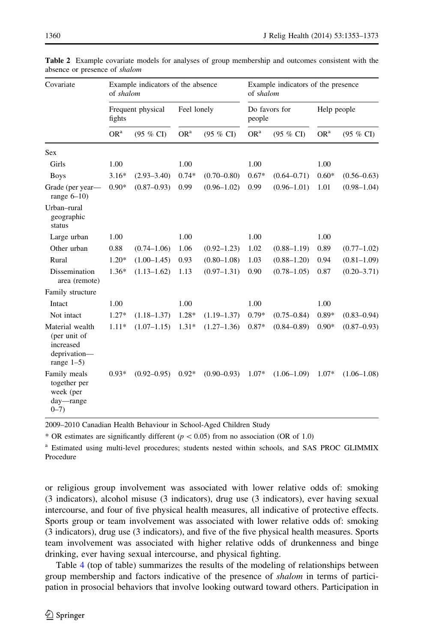| Covariate                                                                     | of shalom       | Example indicators of the absence |                 |                 | of shalom       | Example indicators of the presence |                 |                 |
|-------------------------------------------------------------------------------|-----------------|-----------------------------------|-----------------|-----------------|-----------------|------------------------------------|-----------------|-----------------|
|                                                                               | fights          | Frequent physical                 | Feel lonely     |                 | people          | Do favors for                      | Help people     |                 |
|                                                                               | OR <sup>a</sup> | $(95 \% CI)$                      | OR <sup>a</sup> | $(95 \%$ CI     | OR <sup>a</sup> | $(95\% \text{ CI})$                | OR <sup>a</sup> | $(95 \%$ CI     |
| <b>Sex</b>                                                                    |                 |                                   |                 |                 |                 |                                    |                 |                 |
| Girls                                                                         | 1.00            |                                   | 1.00            |                 | 1.00            |                                    | 1.00            |                 |
| <b>Boys</b>                                                                   | $3.16*$         | $(2.93 - 3.40)$                   | $0.74*$         | $(0.70 - 0.80)$ | $0.67*$         | $(0.64 - 0.71)$                    | $0.60*$         | $(0.56 - 0.63)$ |
| Grade (per year-<br>range $6-10$ )                                            | $0.90*$         | $(0.87 - 0.93)$                   | 0.99            | $(0.96 - 1.02)$ | 0.99            | $(0.96 - 1.01)$                    | 1.01            | $(0.98 - 1.04)$ |
| Urban-rural<br>geographic<br>status                                           |                 |                                   |                 |                 |                 |                                    |                 |                 |
| Large urban                                                                   | 1.00            |                                   | 1.00            |                 | 1.00            |                                    | 1.00            |                 |
| Other urban                                                                   | 0.88            | $(0.74 - 1.06)$                   | 1.06            | $(0.92 - 1.23)$ | 1.02            | $(0.88 - 1.19)$                    | 0.89            | $(0.77 - 1.02)$ |
| Rural                                                                         | $1.20*$         | $(1.00-1.45)$                     | 0.93            | $(0.80 - 1.08)$ | 1.03            | $(0.88 - 1.20)$                    | 0.94            | $(0.81 - 1.09)$ |
| Dissemination<br>area (remote)                                                | $1.36*$         | $(1.13 - 1.62)$                   | 1.13            | $(0.97 - 1.31)$ | 0.90            | $(0.78 - 1.05)$                    | 0.87            | $(0.20 - 3.71)$ |
| Family structure                                                              |                 |                                   |                 |                 |                 |                                    |                 |                 |
| Intact                                                                        | 1.00            |                                   | 1.00            |                 | 1.00            |                                    | 1.00            |                 |
| Not intact                                                                    | $1.27*$         | $(1.18 - 1.37)$                   | 1.28*           | $(1.19 - 1.37)$ | $0.79*$         | $(0.75 - 0.84)$                    | $0.89*$         | $(0.83 - 0.94)$ |
| Material wealth<br>(per unit of<br>increased<br>deprivation-<br>range $1-5$ ) | $1.11*$         | $(1.07-1.15)$                     | $1.31*$         | $(1.27-1.36)$   | 0.87*           | $(0.84 - 0.89)$                    | $0.90*$         | $(0.87 - 0.93)$ |
| Family meals<br>together per<br>week (per<br>day—range<br>$0 - 7$ )           | $0.93*$         | $(0.92 - 0.95)$                   | $0.92*$         | $(0.90 - 0.93)$ | $1.07*$         | $(1.06 - 1.09)$                    | $1.07*$         | $(1.06 - 1.08)$ |

<span id="page-7-0"></span>Table 2 Example covariate models for analyses of group membership and outcomes consistent with the absence or presence of shalom

2009–2010 Canadian Health Behaviour in School-Aged Children Study

\* OR estimates are significantly different ( $p < 0.05$ ) from no association (OR of 1.0)

<sup>a</sup> Estimated using multi-level procedures; students nested within schools, and SAS PROC GLIMMIX Procedure

or religious group involvement was associated with lower relative odds of: smoking (3 indicators), alcohol misuse (3 indicators), drug use (3 indicators), ever having sexual intercourse, and four of five physical health measures, all indicative of protective effects. Sports group or team involvement was associated with lower relative odds of: smoking (3 indicators), drug use (3 indicators), and five of the five physical health measures. Sports team involvement was associated with higher relative odds of drunkenness and binge drinking, ever having sexual intercourse, and physical fighting.

Table [4](#page-10-0) (top of table) summarizes the results of the modeling of relationships between group membership and factors indicative of the presence of shalom in terms of participation in prosocial behaviors that involve looking outward toward others. Participation in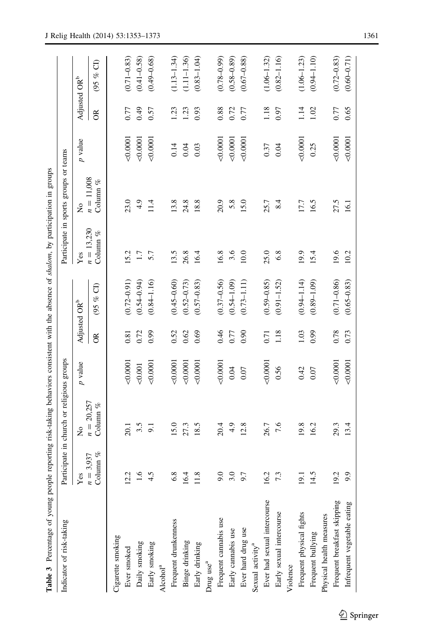<span id="page-8-0"></span>

| Table 3 Percentage of young people reporting risk-taking behaviors consistent with the absence of shalom, by participation in groups |                            |                                           |           |                          |                 |                                     |                                       |                        |                          |                           |
|--------------------------------------------------------------------------------------------------------------------------------------|----------------------------|-------------------------------------------|-----------|--------------------------|-----------------|-------------------------------------|---------------------------------------|------------------------|--------------------------|---------------------------|
| Indicator of risk-taking                                                                                                             |                            | Participate in church or religious groups |           |                          |                 |                                     | Participate in sports groups or teams |                        |                          |                           |
|                                                                                                                                      | Yes                        | $\frac{1}{2}$                             | $p$ value | Adjusted OR <sup>b</sup> |                 | Yes                                 | $\frac{1}{2}$                         | $\boldsymbol{p}$ value | Adjusted OR <sup>b</sup> |                           |
|                                                                                                                                      | Column $\%$<br>$n = 3,937$ | $n = 20,257$<br>Column %                  |           | $\approx$                | (95 % C1)       | $n = 13,230$<br>Column <sub>%</sub> | $n = 11,008$<br>Column %              |                        | $\approx$                | ට්<br>of<br>$\frac{5}{6}$ |
| Cigarette smoking                                                                                                                    |                            |                                           |           |                          |                 |                                     |                                       |                        |                          |                           |
| Ever smoked                                                                                                                          | 12.2                       | 20.1                                      | $-0.0001$ | 0.81                     | $(0.72 - 0.91)$ | 15.2                                | 23.0                                  | $-0.0001$              | 0.77                     | $(0.71 - 0.83)$           |
| Daily smoking                                                                                                                        | 1.6                        | 3.5                                       | $-0.001$  | 0.72                     | $(0.54 - 0.94)$ | 1.7                                 | 4.9                                   | $-0.0001$              | 0.49                     | $(0.41 - 0.58)$           |
| Early smoking                                                                                                                        | 4.5                        | $\overline{5}$                            | $-0.0001$ | 0.99                     | $(0.84 - 1.16)$ | 5.7                                 | 11.4                                  | $-0.0001$              | 0.57                     | $(0.49 - 0.68)$           |
| Alcohol <sup>a</sup>                                                                                                                 |                            |                                           |           |                          |                 |                                     |                                       |                        |                          |                           |
| Frequent drunkenness                                                                                                                 | 6.8                        | 15.0                                      | $-0.0001$ | 0.52                     | $(0.45 - 0.60)$ | 13.5                                | 13.8                                  | 0.14                   | 1.23                     | $(1.13 - 1.34)$           |
| Binge drinking                                                                                                                       | 16.4                       | 27.3                                      | $-0.0001$ | 0.62                     | $(0.52 - 0.73)$ | 26.8                                | 24.8                                  | 0.04                   | 1.23                     | $(1.11 - 1.36)$           |
| Early drinking                                                                                                                       | 11.8                       | 18.5                                      | $-0.0001$ | 0.69                     | $(0.57 - 0.83)$ | 16.4                                | 18.8                                  | 0.03                   | 0.93                     | $(0.83 - 1.04)$           |
| Drug use <sup>a</sup>                                                                                                                |                            |                                           |           |                          |                 |                                     |                                       |                        |                          |                           |
| Frequent camabis use                                                                                                                 | 9.0                        | 20.4                                      | $-0.0001$ | 0.46                     | $(0.37 - 0.56)$ | 16.8                                | 20.9                                  | $-0.0001$              | 0.88                     | $(0.78 - 0.99)$           |
| Early cannabis use<br>Ever hard drug use                                                                                             | 3.0                        | 4.9                                       | 0.04      | 0.77                     | $(0.54 - 1.09)$ | 3.6                                 | 5.8                                   | $-0.0001$              | 0.72                     | $(0.58 - 0.89)$           |
|                                                                                                                                      | 9.7                        | 12.8                                      | 0.07      | 0.90                     | $(0.73 - 1.11)$ | 10.0                                | 15.0                                  | $-0.0001$              | 0.77                     | $(0.67 - 0.88)$           |
| Sexual activity <sup>a</sup>                                                                                                         |                            |                                           |           |                          |                 |                                     |                                       |                        |                          |                           |
| Ever had sexual intercourse                                                                                                          | 6.2                        | 26.7                                      | $-0.0001$ | 0.71                     | $(0.59 - 0.85)$ | 25.0                                | 25.7                                  | 0.37                   | 1.18                     | $(1.06 - 1.32)$           |
| Early sexual intercourse                                                                                                             | 7.3                        | 7.6                                       | 0.56      | 1.18                     | $(0.91 - 1.52)$ | 6.8                                 | 8.4                                   | 0.04                   | 0.97                     | $(0.82 - 1.16)$           |
| Violence                                                                                                                             |                            |                                           |           |                          |                 |                                     |                                       |                        |                          |                           |
| Frequent physical fights                                                                                                             | 9.1                        | 19.8                                      | 0.42      | 1.03                     | $(0.94 - 1.14)$ | 19.9                                | 17.7                                  | $-0.0001$              | 1.14                     | $(1.06 - 1.23)$           |
| Frequent bullying                                                                                                                    | 14.5                       | 16.2                                      | 0.07      | 0.99                     | $(0.89 - 1.09)$ | 15.4                                | 16.5                                  | 0.25                   | 1.02                     | $(0.94 - 1.10)$           |
| Physical health measures                                                                                                             |                            |                                           |           |                          |                 |                                     |                                       |                        |                          |                           |
| Frequent breakfast skipping                                                                                                          | 9.2                        | 29.3                                      | $-0.0001$ | 0.78                     | $(0.71 - 0.86)$ | 19.6                                | 27.5                                  | $-0.0001$              | 0.77                     | $(0.72 - 0.83)$           |
| Infrequent vegetable eating                                                                                                          | 9.9                        | 13.4                                      | $-0.0001$ | 0.73                     | $(0.65 - 0.83)$ | 10.2                                | 16.1                                  | $-0.0001$              | 0.65                     | $(0.60 - 0.71)$           |
|                                                                                                                                      |                            |                                           |           |                          |                 |                                     |                                       |                        |                          |                           |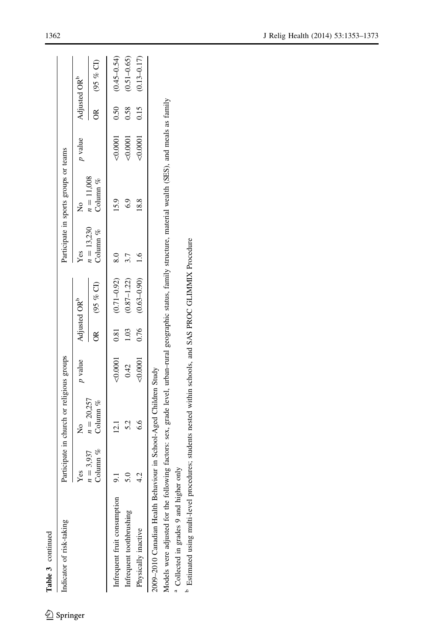| $0.50$ $(0.45-0.54)$<br>p value Adjusted OR <sup>b</sup><br>0.0001<br>$n = 11,008$<br>Column $\%$<br>15.9<br>$\frac{6}{9}$<br>ž<br>$n = 13,230$<br>Column $\%$<br>Yes<br>$\frac{8}{8}$<br>$(0.71 - 0.92)$<br>$(0.87 - 1.22)$<br>OR $(95\% \text{ Cl})$<br>p value Adjusted OR <sup>b</sup><br>1.03<br>0.42<br>$n = 20,257$<br>Column %<br>12.1<br>5.2<br>ż<br>Column %<br>$n = 3,937$<br>Yes<br>$\overline{5}$<br>Infrequent fruit consumption<br>Infrequent toothbrushing | ndicator of risk-taking | Participate in church or religious groups |        |  | Participate in sports groups or teams |        |      |                 |
|----------------------------------------------------------------------------------------------------------------------------------------------------------------------------------------------------------------------------------------------------------------------------------------------------------------------------------------------------------------------------------------------------------------------------------------------------------------------------|-------------------------|-------------------------------------------|--------|--|---------------------------------------|--------|------|-----------------|
|                                                                                                                                                                                                                                                                                                                                                                                                                                                                            |                         |                                           |        |  |                                       |        |      |                 |
|                                                                                                                                                                                                                                                                                                                                                                                                                                                                            |                         |                                           |        |  |                                       |        |      | OR (95 % CI)    |
|                                                                                                                                                                                                                                                                                                                                                                                                                                                                            |                         |                                           |        |  |                                       |        |      |                 |
|                                                                                                                                                                                                                                                                                                                                                                                                                                                                            |                         |                                           |        |  |                                       |        | 0.58 | $(0.51 - 0.65)$ |
| 18.8<br>$0.76$ $(0.63-0.90)$ 1.6<br>66<br>4.2                                                                                                                                                                                                                                                                                                                                                                                                                              | Physically inactive     |                                           | 0.0001 |  |                                       | 0.0001 | 0.15 | $(0.13 - 0.17)$ |

Models were adjusted for the following factors: sex, grade level, urban-rural geographic status, family structure, material wealth (SES), and meals as family Models were adjusted for the following factors: sex, grade level, urban–rural geographic status, family structure, material wealth (SES), and meals as family

<sup>a</sup> Collected in grades 9 and higher only Collected in grades 9 and higher only

<sup>b</sup> Estimated using multi-level procedures; students nested within schools, and SAS PROC GLIMMIX Procedure Estimated using multi-level procedures; students nested within schools, and SAS PROC GLIMMIX Procedure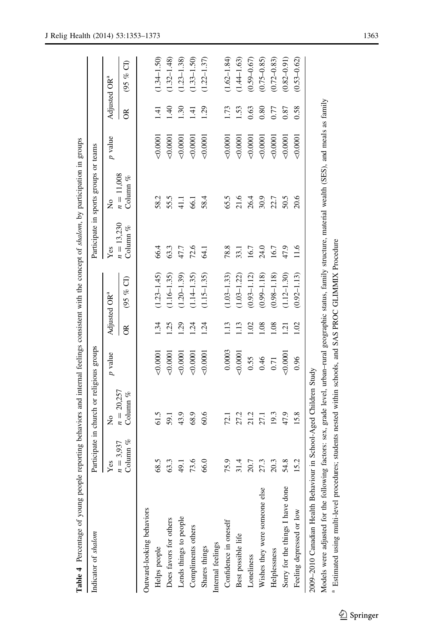<span id="page-10-0"></span>

| Table 4 Percentage of young people reporting behaviors and internal feelings consistent with the concept of shalom, by participation in groups                |                           |                                           |           |      |                          |                          |                                       |         |                          |                 |
|---------------------------------------------------------------------------------------------------------------------------------------------------------------|---------------------------|-------------------------------------------|-----------|------|--------------------------|--------------------------|---------------------------------------|---------|--------------------------|-----------------|
| Indicator of shalom                                                                                                                                           |                           | Participate in church or religious groups |           |      |                          |                          | Participate in sports groups or teams |         |                          |                 |
|                                                                                                                                                               | Yes                       | ż                                         | $p$ value |      | Adjusted OR <sup>a</sup> | Yes                      | ż                                     | p value | Adjusted OR <sup>a</sup> |                 |
|                                                                                                                                                               | Column $%$<br>$n = 3,937$ | $n = 20,257$<br>Column $%$                |           | g    | (95 % C1)                | $n = 13,230$<br>Column % | $n = 11,008$<br>Column $%$            |         | $\approx$                | (95 % G1)       |
| Outward-looking behaviors                                                                                                                                     |                           |                                           |           |      |                          |                          |                                       |         |                          |                 |
| Helps people                                                                                                                                                  | 68.5                      | 61.5                                      | 0.0001    | 1.34 | $(1.23 - 1.45)$          | 66.4                     | 58.2                                  | 0.0001  | 141                      | $(1.34 - 1.50)$ |
| Does favors for others                                                                                                                                        | 63.3                      | 59.1                                      | 0.0001    | 1.25 | $1.16 - 1.35$            | 63.3                     | 55.5                                  | 0.0001  | $\frac{40}{1}$           | $(1.32 - 1.48)$ |
| Lends things to people                                                                                                                                        | 49.1                      | 43.9                                      | 0.0001    | 1.29 | $(1.20 - 1.39)$          | 47.7                     | 41.1                                  | 0.0001  | 1.30                     | $(1.23 - 1.38)$ |
| Compliments others                                                                                                                                            | 73.6                      | 68.9                                      | 0.0001    | 1.24 | $(1.14 - 1.35)$          | 72.6                     | 66.1                                  | 0.0001  | 1.41                     | $(1.33 - 1.50)$ |
| Shares things                                                                                                                                                 | 66.0                      | 60.6                                      | 0.0001    | 1.24 | $(1.15 - 1.35)$          | 64.1                     | 58.4                                  | 0.0001  | 1.29                     | $(1.22 - 1.37)$ |
| Internal feelings                                                                                                                                             |                           |                                           |           |      |                          |                          |                                       |         |                          |                 |
| Confidence in oneself                                                                                                                                         | 75.9                      | 72.1                                      | 0.0003    | 113  | $(1.03 - 1.33)$          | 78.8                     | 65.5                                  | 0.0001  | 1.73                     | $(1.62 - 1.84)$ |
| Best possible life                                                                                                                                            | 31.4                      | 27.2                                      | 0.0001    | 113  | $(1.03 - 1.22)$          | 33.1                     | 21.6                                  | 0.0001  | 1.53                     | $(1.44 - 1.63)$ |
| Loneliness                                                                                                                                                    | 20.7                      | 21.2                                      | 0.55      | 1.02 | $(0.93 - 1.12)$          | 16.7                     | 26.4                                  | 0.0001  | 0.63                     | $(0.59 - 0.67)$ |
| Wishes they were someone else                                                                                                                                 | 27.3                      | 27.1                                      | 0.46      | 1.08 | $(0.99 - 1.18)$          | 24.0                     | 30.9                                  | 0.000   | 0.80                     | $(0.75 - 0.85)$ |
| Helplessness                                                                                                                                                  | 20.3                      | 19.3                                      | 0.71      | 1.08 | $(0.98 - 1.18)$          | 16.7                     | 22.7                                  | 0.000   | 0.77                     | $(0.72 - 0.83)$ |
| Sorry for the things I have done                                                                                                                              | 54.8                      | 47.9                                      | 0.0001    | 1.21 | $(1.12 - 1.30)$          | 47.9                     | 50.5                                  | 0.000   | 0.87                     | $(0.82 - 0.91)$ |
| Feeling depressed or low                                                                                                                                      | 15.2                      | 15.8                                      | 0.96      | 1.02 | $(0.92 - 1.13)$          | 11.6                     | 20.6                                  | 0.0001  | 0.58                     | $(0.53 - 0.62)$ |
| 2009-2010 Canadian Health Behaviour in School-Aged Children Study                                                                                             |                           |                                           |           |      |                          |                          |                                       |         |                          |                 |
| Models were adjusted for the following factors: sex, grade level, urban-rural geographic status, family structure, material wealth (SES), and meals as family |                           |                                           |           |      |                          |                          |                                       |         |                          |                 |

<sup>a</sup> Estimated using multi-level procedures; students nested within schools, and SAS PROC GLIMMIX Procedure Estimated using multi-level procedures; students nested within schools, and SAS PROC GLIMMIX Procedure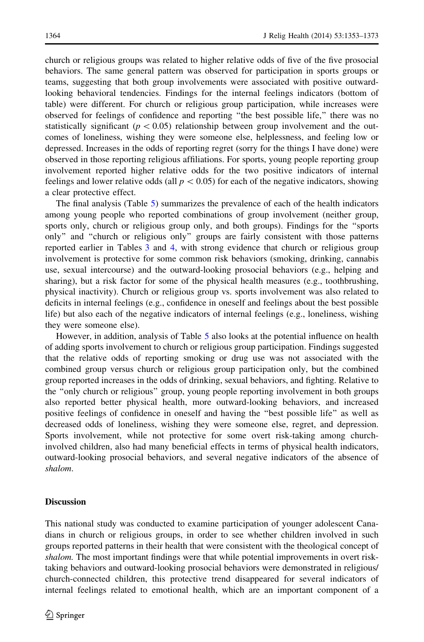church or religious groups was related to higher relative odds of five of the five prosocial behaviors. The same general pattern was observed for participation in sports groups or teams, suggesting that both group involvements were associated with positive outwardlooking behavioral tendencies. Findings for the internal feelings indicators (bottom of table) were different. For church or religious group participation, while increases were observed for feelings of confidence and reporting ''the best possible life,'' there was no statistically significant ( $p<0.05$ ) relationship between group involvement and the outcomes of loneliness, wishing they were someone else, helplessness, and feeling low or depressed. Increases in the odds of reporting regret (sorry for the things I have done) were observed in those reporting religious affiliations. For sports, young people reporting group involvement reported higher relative odds for the two positive indicators of internal feelings and lower relative odds (all  $p<0.05$ ) for each of the negative indicators, showing a clear protective effect.

The final analysis (Table [5](#page-12-0)) summarizes the prevalence of each of the health indicators among young people who reported combinations of group involvement (neither group, sports only, church or religious group only, and both groups). Findings for the ''sports only'' and ''church or religious only'' groups are fairly consistent with those patterns reported earlier in Tables [3](#page-8-0) and [4](#page-10-0), with strong evidence that church or religious group involvement is protective for some common risk behaviors (smoking, drinking, cannabis use, sexual intercourse) and the outward-looking prosocial behaviors (e.g., helping and sharing), but a risk factor for some of the physical health measures (e.g., toothbrushing, physical inactivity). Church or religious group vs. sports involvement was also related to deficits in internal feelings (e.g., confidence in oneself and feelings about the best possible life) but also each of the negative indicators of internal feelings (e.g., loneliness, wishing they were someone else).

However, in addition, analysis of Table [5](#page-12-0) also looks at the potential influence on health of adding sports involvement to church or religious group participation. Findings suggested that the relative odds of reporting smoking or drug use was not associated with the combined group versus church or religious group participation only, but the combined group reported increases in the odds of drinking, sexual behaviors, and fighting. Relative to the ''only church or religious'' group, young people reporting involvement in both groups also reported better physical health, more outward-looking behaviors, and increased positive feelings of confidence in oneself and having the ''best possible life'' as well as decreased odds of loneliness, wishing they were someone else, regret, and depression. Sports involvement, while not protective for some overt risk-taking among churchinvolved children, also had many beneficial effects in terms of physical health indicators, outward-looking prosocial behaviors, and several negative indicators of the absence of shalom.

### **Discussion**

This national study was conducted to examine participation of younger adolescent Canadians in church or religious groups, in order to see whether children involved in such groups reported patterns in their health that were consistent with the theological concept of shalom. The most important findings were that while potential improvements in overt risktaking behaviors and outward-looking prosocial behaviors were demonstrated in religious/ church-connected children, this protective trend disappeared for several indicators of internal feelings related to emotional health, which are an important component of a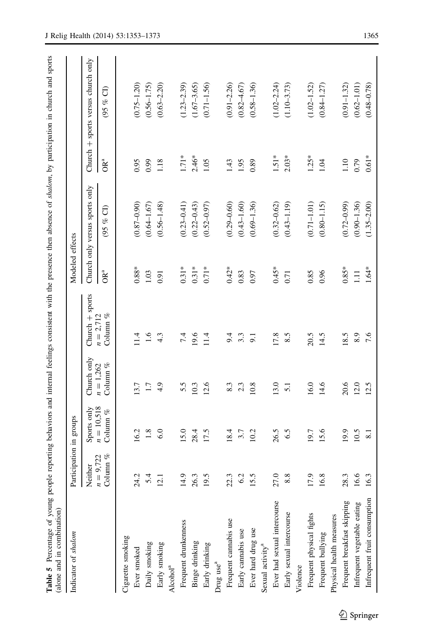<span id="page-12-0"></span>

| Indicator of shalom          | Participation in groups     |                            |                            |                         | Modeled effects |                                |                 |                                    |
|------------------------------|-----------------------------|----------------------------|----------------------------|-------------------------|-----------------|--------------------------------|-----------------|------------------------------------|
|                              | Neither<br>$n = 9,722$      | Sports only                | Church only                | $Church + sports$       |                 | Church only versus sports only |                 | Church + sports versus church only |
|                              | Column $%$                  | $n = 10,518$<br>Column $%$ | Column $\%$<br>$n = 1,262$ | Column %<br>$n = 2,712$ | OR <sup>a</sup> | (95 % C1)                      | OR <sup>a</sup> | $\Theta$<br>$(95 \%$               |
| Cigarette smoking            |                             |                            |                            |                         |                 |                                |                 |                                    |
| Ever smoked                  | 24.2                        | 16.2                       | 13.7                       | $\frac{4}{11}$          | $0.88*$         | $(0.87 - 0.90)$                | 0.95            | $(0.75 - 1.20)$                    |
| Daily smoking                | 5.4                         | $1.8\,$                    | 1.7                        | $\overline{0}$ .        | 1.03            | $(0.64 - 1.67)$                | 0.99            | $(0.56 - 1.75)$                    |
| Early smoking                | 12.1                        | 6.0                        | 4.9                        | 4.3                     | 0.91            | $(0.56 - 1.48)$                | 1.18            | $(0.63 - 2.20)$                    |
| Alcohol <sup>a</sup>         |                             |                            |                            |                         |                 |                                |                 |                                    |
| Frequent drunkenness         | 14.9                        | 15.0                       | 5.5                        | 7.4                     | $0.31*$         | $(0.23 - 0.41)$                | $1.71*$         | $(1.23 - 2.39)$                    |
| Binge drinking               | 26.3                        | 28.4                       | 10.3                       | 19.6                    | $0.31*$         | $(0.22 - 0.43)$                | $2.46*$         | $(1.67 - 3.65)$                    |
| Early drinking               | 19.5                        | 17.5                       | 12.6                       | 11.4                    | $0.71*$         | $(0.52 - 0.97)$                | 1.05            | $(0.71 - 1.56)$                    |
| Drug use <sup>a</sup>        |                             |                            |                            |                         |                 |                                |                 |                                    |
| Frequent cannabis use        | 22.3                        | 18.4                       | 8.3                        | 9.4                     | $0.42*$         | $(0.29 - 0.60)$                | 1.43            | $(0.91 - 2.26)$                    |
| Early cannabis use           | 6.2                         | 3.7                        | 2.3                        | 3.3                     | 0.83            | $(0.43 - 1.60)$                | 1.95            | $(0.82 - 4.67)$                    |
| Ever hard drug use           | 15.5                        | 10.2                       | 10.8                       | $\overline{9}$ .        | 0.97            | $(0.69 - 1.36)$                | 0.89            | $(0.58 - 1.36)$                    |
| Sexual activity <sup>a</sup> |                             |                            |                            |                         |                 |                                |                 |                                    |
| Ever had sexual intercourse  | 27.0                        | 26.5                       | 13.0                       | 17.8                    | $0.45*$         | $(0.32 - 0.62)$                | 1.51*           | $(1.02 - 2.24)$                    |
| Early sexual intercourse     | 8.8                         | 6.5                        | 5.1                        | 8.5                     | 0.71            | $(0.43 - 1.19)$                | $2.03*$         | $(1.10 - 3.73)$                    |
| Violence                     |                             |                            |                            |                         |                 |                                |                 |                                    |
| Frequent physical fights     | ؘڔ<br>17.                   | 19.7                       | 16.0                       | 20.5                    | 0.85            | $(0.71 - 1.01)$                | $1.25*$         | $(1.02 - 1.52)$                    |
| Frequent bullying            | $\infty$<br>$\overline{16}$ | 15.6                       | 14.6                       | 14.5                    | 0.96            | $(0.80 - 1.15)$                | 1.04            | $(0.84 - 1.27)$                    |
| Physical health measures     |                             |                            |                            |                         |                 |                                |                 |                                    |
| Frequent breakfast skipping  | 28.3                        | 19.9                       | 20.6                       | 18.5                    | $0.85*$         | $(0.72 - 0.99)$                | 1.10            | $(0.91 - 1.32)$                    |
| Infrequent vegetable eating  | 16.6                        | 10.5                       | 12.0                       | 8.9                     | $\Xi$           | $(0.90 - 1.36)$                | 0.79            | $(0.62 - 1.01)$                    |
| Infrequent fruit consumption | 16.3                        | $\overline{8.1}$           | 12.5                       | 7.6                     | 1.64*           | $(1.35 - 2.00)$                | $0.61*$         | $(0.48 - 0.78)$                    |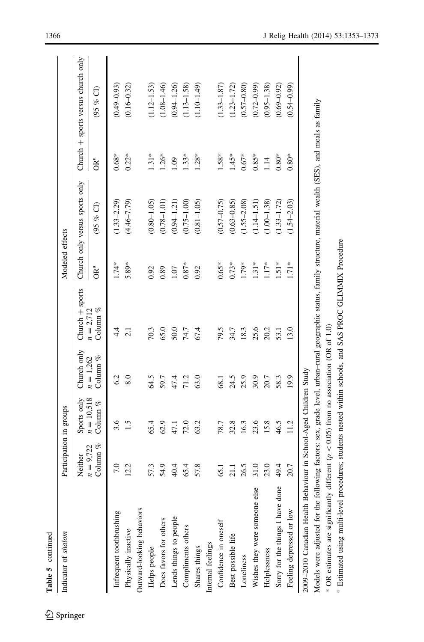| Indicator of shalom                                                                                                                                           | Participation in groups |                          |                         |                         | Modeled effects |                                |                 |                                    |
|---------------------------------------------------------------------------------------------------------------------------------------------------------------|-------------------------|--------------------------|-------------------------|-------------------------|-----------------|--------------------------------|-----------------|------------------------------------|
|                                                                                                                                                               | Neither                 | Sports only              | Church only             | Church + sports         |                 | Church only versus sports only |                 | Church + sports versus church only |
|                                                                                                                                                               | Column %<br>$n = 9,722$ | $n = 10,518$<br>Column % | Column %<br>$n = 1,262$ | Column %<br>$n = 2,712$ | OR <sup>a</sup> | (95 % CI)                      | OR <sup>a</sup> | (95 % C1)                          |
| Infrequent toothbrushing                                                                                                                                      | 7.0                     | 3.6                      | 6.2                     | 4.4                     | $1.74*$         | $(1.33 - 2.29)$                | $0.68*$         | $(0.49 - 0.93)$                    |
| Physically inactive                                                                                                                                           | 12.2                    | 1.5                      | 8.0                     | $\overline{c}$          | 5.89*           | $(4.46 - 7.79)$                | $0.22*$         | $(0.16 - 0.32)$                    |
| Outward-looking behaviors                                                                                                                                     |                         |                          |                         |                         |                 |                                |                 |                                    |
| Helps people                                                                                                                                                  | 57.3                    | 65.4                     | 64.5                    | 70.3                    | 0.92            | $(0.80 - 1.05)$                | $1.31*$         | $(1.12 - 1.53)$                    |
| Does favors for others                                                                                                                                        | 54.9                    | 62.9                     | 59.7                    | 65.0                    | 0.89            | $(0.78 - 1.01)$                | $1.26*$         | $(1.08 - 1.46)$                    |
| Lends things to people                                                                                                                                        | 40.4                    | 47.1                     | 47.4                    | 50.0                    | 1.07            | $(0.94 - 1.21)$                | 1.09            | $(0.94 - 1.26)$                    |
| Compliments others                                                                                                                                            | 65.4                    | 72.0                     | 71.2                    | 74.7                    | $0.87*$         | $(0.75 - 1.00)$                | $.33*$          | $(1.13 - 1.58)$                    |
| Shares things                                                                                                                                                 | 57.8                    | 63.2                     | 63.0                    | 67.4                    | 0.92            | $(0.81 - 1.05)$                | $1.28*$         | $(1.10-1.49)$                      |
| Internal feelings                                                                                                                                             |                         |                          |                         |                         |                 |                                |                 |                                    |
| Confidence in oneself                                                                                                                                         | 65.1                    | 78.7                     | 68.1                    | 79.5                    | $0.65*$         | $(0.57 - 0.75)$                | $1.58*$         | $(1.33 - 1.87)$                    |
| Best possible life                                                                                                                                            | 21.1                    | 32.8                     | 24.5                    | 34.7                    | $0.73*$         | $(0.63 - 0.85)$                | $1.45*$         | $(1.23 - 1.72)$                    |
| Loneliness                                                                                                                                                    | 26.5                    | 16.3                     | 25.9                    | 18.3                    | 1.79*           | $(1.55 - 2.08)$                | $0.67*$         | $(0.57 - 0.80)$                    |
| Wishes they were someone else                                                                                                                                 | 31.0                    | 23.6                     | 30.9                    | 25.6                    | $1.31*$         | $(1.14 - 1.51)$                | $0.85*$         | $(0.72 - 0.99)$                    |
| Helplessness                                                                                                                                                  | 23.0                    | 15.8                     | 20.7                    | 20.2                    | $1.17*$         | $(1.00 - 1.38)$                | 1.14            | $(0.95 - 1.38)$                    |
| Sorry for the things I have done                                                                                                                              | 49.4                    | 46.5                     | 58.3                    | 53.1                    | $1.51*$         | $(1.33 - 1.72)$                | $0.80*$         | $(0.69 - 0.92)$                    |
| Feeling depressed or low                                                                                                                                      | 20.7                    | 11.2                     | 19.9                    | 13.0                    | $1.71*$         | $(1.54 - 2.03)$                | $0.80*$         | $(0.54 - 0.99)$                    |
| 2009-2010 Canadian Health Behaviour in School-Aged Children Study                                                                                             |                         |                          |                         |                         |                 |                                |                 |                                    |
| Models were adjusted for the following factors: sex, grade level, urban-rural geographic status, family structure, material wealth (SES), and meals as family |                         |                          |                         |                         |                 |                                |                 |                                    |

\* OR estimates are significantly different ( $p < 0.05$ ) from no association (OR of 1.0)

\* OR estimates are significantly different ( $p < 0.05$ ) from no association (OR of 1.0)

<sup>a</sup> Estimated using multi-level procedures; students nested within schools, and SAS PROC GLIMMIX Procedure Estimated using multi-level procedures; students nested within schools, and SAS PROC GLIMMIX Procedure

 $\underline{\textcircled{\tiny 2}}$  Springer

Table 5 continued

Table 5 continued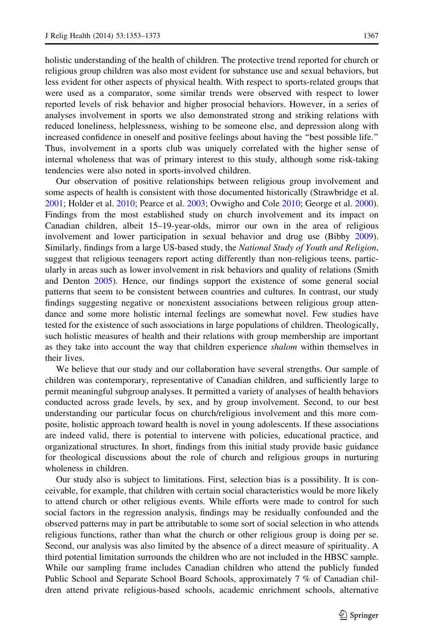holistic understanding of the health of children. The protective trend reported for church or religious group children was also most evident for substance use and sexual behaviors, but less evident for other aspects of physical health. With respect to sports-related groups that were used as a comparator, some similar trends were observed with respect to lower reported levels of risk behavior and higher prosocial behaviors. However, in a series of analyses involvement in sports we also demonstrated strong and striking relations with reduced loneliness, helplessness, wishing to be someone else, and depression along with increased confidence in oneself and positive feelings about having the ''best possible life.'' Thus, involvement in a sports club was uniquely correlated with the higher sense of internal wholeness that was of primary interest to this study, although some risk-taking tendencies were also noted in sports-involved children.

Our observation of positive relationships between religious group involvement and some aspects of health is consistent with those documented historically (Strawbridge et al. [2001;](#page-20-0) Holder et al. [2010;](#page-19-0) Pearce et al. [2003;](#page-20-0) Ovwigho and Cole [2010](#page-20-0); George et al. [2000](#page-19-0)). Findings from the most established study on church involvement and its impact on Canadian children, albeit 15–19-year-olds, mirror our own in the area of religious involvement and lower participation in sexual behavior and drug use (Bibby [2009](#page-19-0)). Similarly, findings from a large US-based study, the National Study of Youth and Religion, suggest that religious teenagers report acting differently than non-religious teens, particularly in areas such as lower involvement in risk behaviors and quality of relations (Smith and Denton [2005\)](#page-20-0). Hence, our findings support the existence of some general social patterns that seem to be consistent between countries and cultures. In contrast, our study findings suggesting negative or nonexistent associations between religious group attendance and some more holistic internal feelings are somewhat novel. Few studies have tested for the existence of such associations in large populations of children. Theologically, such holistic measures of health and their relations with group membership are important as they take into account the way that children experience shalom within themselves in their lives.

We believe that our study and our collaboration have several strengths. Our sample of children was contemporary, representative of Canadian children, and sufficiently large to permit meaningful subgroup analyses. It permitted a variety of analyses of health behaviors conducted across grade levels, by sex, and by group involvement. Second, to our best understanding our particular focus on church/religious involvement and this more composite, holistic approach toward health is novel in young adolescents. If these associations are indeed valid, there is potential to intervene with policies, educational practice, and organizational structures. In short, findings from this initial study provide basic guidance for theological discussions about the role of church and religious groups in nurturing wholeness in children.

Our study also is subject to limitations. First, selection bias is a possibility. It is conceivable, for example, that children with certain social characteristics would be more likely to attend church or other religious events. While efforts were made to control for such social factors in the regression analysis, findings may be residually confounded and the observed patterns may in part be attributable to some sort of social selection in who attends religious functions, rather than what the church or other religious group is doing per se. Second, our analysis was also limited by the absence of a direct measure of spirituality. A third potential limitation surrounds the children who are not included in the HBSC sample. While our sampling frame includes Canadian children who attend the publicly funded Public School and Separate School Board Schools, approximately 7 % of Canadian children attend private religious-based schools, academic enrichment schools, alternative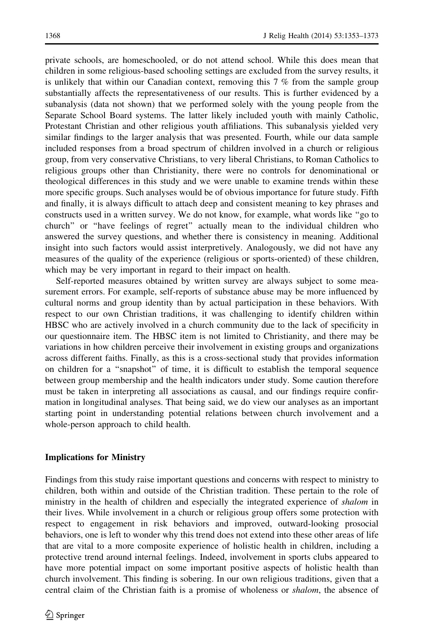private schools, are homeschooled, or do not attend school. While this does mean that children in some religious-based schooling settings are excluded from the survey results, it is unlikely that within our Canadian context, removing this 7 % from the sample group substantially affects the representativeness of our results. This is further evidenced by a subanalysis (data not shown) that we performed solely with the young people from the Separate School Board systems. The latter likely included youth with mainly Catholic, Protestant Christian and other religious youth affiliations. This subanalysis yielded very similar findings to the larger analysis that was presented. Fourth, while our data sample included responses from a broad spectrum of children involved in a church or religious group, from very conservative Christians, to very liberal Christians, to Roman Catholics to religious groups other than Christianity, there were no controls for denominational or theological differences in this study and we were unable to examine trends within these more specific groups. Such analyses would be of obvious importance for future study. Fifth and finally, it is always difficult to attach deep and consistent meaning to key phrases and constructs used in a written survey. We do not know, for example, what words like ''go to church'' or ''have feelings of regret'' actually mean to the individual children who answered the survey questions, and whether there is consistency in meaning. Additional insight into such factors would assist interpretively. Analogously, we did not have any measures of the quality of the experience (religious or sports-oriented) of these children, which may be very important in regard to their impact on health.

Self-reported measures obtained by written survey are always subject to some measurement errors. For example, self-reports of substance abuse may be more influenced by cultural norms and group identity than by actual participation in these behaviors. With respect to our own Christian traditions, it was challenging to identify children within HBSC who are actively involved in a church community due to the lack of specificity in our questionnaire item. The HBSC item is not limited to Christianity, and there may be variations in how children perceive their involvement in existing groups and organizations across different faiths. Finally, as this is a cross-sectional study that provides information on children for a ''snapshot'' of time, it is difficult to establish the temporal sequence between group membership and the health indicators under study. Some caution therefore must be taken in interpreting all associations as causal, and our findings require confirmation in longitudinal analyses. That being said, we do view our analyses as an important starting point in understanding potential relations between church involvement and a whole-person approach to child health.

## Implications for Ministry

Findings from this study raise important questions and concerns with respect to ministry to children, both within and outside of the Christian tradition. These pertain to the role of ministry in the health of children and especially the integrated experience of *shalom* in their lives. While involvement in a church or religious group offers some protection with respect to engagement in risk behaviors and improved, outward-looking prosocial behaviors, one is left to wonder why this trend does not extend into these other areas of life that are vital to a more composite experience of holistic health in children, including a protective trend around internal feelings. Indeed, involvement in sports clubs appeared to have more potential impact on some important positive aspects of holistic health than church involvement. This finding is sobering. In our own religious traditions, given that a central claim of the Christian faith is a promise of wholeness or shalom, the absence of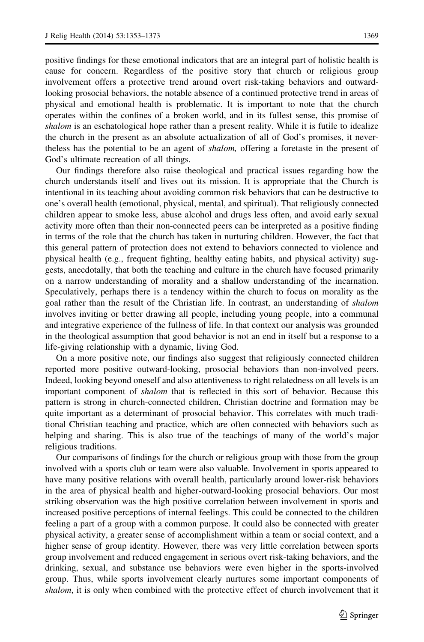positive findings for these emotional indicators that are an integral part of holistic health is cause for concern. Regardless of the positive story that church or religious group involvement offers a protective trend around overt risk-taking behaviors and outwardlooking prosocial behaviors, the notable absence of a continued protective trend in areas of physical and emotional health is problematic. It is important to note that the church operates within the confines of a broken world, and in its fullest sense, this promise of shalom is an eschatological hope rather than a present reality. While it is futile to idealize the church in the present as an absolute actualization of all of God's promises, it nevertheless has the potential to be an agent of shalom, offering a foretaste in the present of God's ultimate recreation of all things.

Our findings therefore also raise theological and practical issues regarding how the church understands itself and lives out its mission. It is appropriate that the Church is intentional in its teaching about avoiding common risk behaviors that can be destructive to one's overall health (emotional, physical, mental, and spiritual). That religiously connected children appear to smoke less, abuse alcohol and drugs less often, and avoid early sexual activity more often than their non-connected peers can be interpreted as a positive finding in terms of the role that the church has taken in nurturing children. However, the fact that this general pattern of protection does not extend to behaviors connected to violence and physical health (e.g., frequent fighting, healthy eating habits, and physical activity) suggests, anecdotally, that both the teaching and culture in the church have focused primarily on a narrow understanding of morality and a shallow understanding of the incarnation. Speculatively, perhaps there is a tendency within the church to focus on morality as the goal rather than the result of the Christian life. In contrast, an understanding of shalom involves inviting or better drawing all people, including young people, into a communal and integrative experience of the fullness of life. In that context our analysis was grounded in the theological assumption that good behavior is not an end in itself but a response to a life-giving relationship with a dynamic, living God.

On a more positive note, our findings also suggest that religiously connected children reported more positive outward-looking, prosocial behaviors than non-involved peers. Indeed, looking beyond oneself and also attentiveness to right relatedness on all levels is an important component of shalom that is reflected in this sort of behavior. Because this pattern is strong in church-connected children, Christian doctrine and formation may be quite important as a determinant of prosocial behavior. This correlates with much traditional Christian teaching and practice, which are often connected with behaviors such as helping and sharing. This is also true of the teachings of many of the world's major religious traditions.

Our comparisons of findings for the church or religious group with those from the group involved with a sports club or team were also valuable. Involvement in sports appeared to have many positive relations with overall health, particularly around lower-risk behaviors in the area of physical health and higher-outward-looking prosocial behaviors. Our most striking observation was the high positive correlation between involvement in sports and increased positive perceptions of internal feelings. This could be connected to the children feeling a part of a group with a common purpose. It could also be connected with greater physical activity, a greater sense of accomplishment within a team or social context, and a higher sense of group identity. However, there was very little correlation between sports group involvement and reduced engagement in serious overt risk-taking behaviors, and the drinking, sexual, and substance use behaviors were even higher in the sports-involved group. Thus, while sports involvement clearly nurtures some important components of shalom, it is only when combined with the protective effect of church involvement that it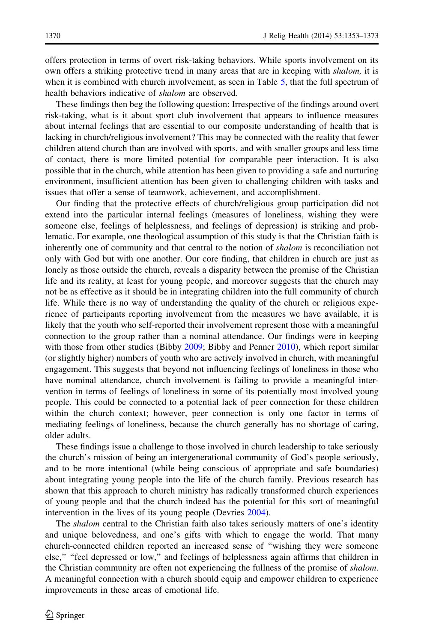offers protection in terms of overt risk-taking behaviors. While sports involvement on its own offers a striking protective trend in many areas that are in keeping with shalom, it is when it is combined with church involvement, as seen in Table [5,](#page-12-0) that the full spectrum of health behaviors indicative of shalom are observed.

These findings then beg the following question: Irrespective of the findings around overt risk-taking, what is it about sport club involvement that appears to influence measures about internal feelings that are essential to our composite understanding of health that is lacking in church/religious involvement? This may be connected with the reality that fewer children attend church than are involved with sports, and with smaller groups and less time of contact, there is more limited potential for comparable peer interaction. It is also possible that in the church, while attention has been given to providing a safe and nurturing environment, insufficient attention has been given to challenging children with tasks and issues that offer a sense of teamwork, achievement, and accomplishment.

Our finding that the protective effects of church/religious group participation did not extend into the particular internal feelings (measures of loneliness, wishing they were someone else, feelings of helplessness, and feelings of depression) is striking and problematic. For example, one theological assumption of this study is that the Christian faith is inherently one of community and that central to the notion of *shalom* is reconciliation not only with God but with one another. Our core finding, that children in church are just as lonely as those outside the church, reveals a disparity between the promise of the Christian life and its reality, at least for young people, and moreover suggests that the church may not be as effective as it should be in integrating children into the full community of church life. While there is no way of understanding the quality of the church or religious experience of participants reporting involvement from the measures we have available, it is likely that the youth who self-reported their involvement represent those with a meaningful connection to the group rather than a nominal attendance. Our findings were in keeping with those from other studies (Bibby [2009](#page-19-0); Bibby and Penner [2010](#page-19-0)), which report similar (or slightly higher) numbers of youth who are actively involved in church, with meaningful engagement. This suggests that beyond not influencing feelings of loneliness in those who have nominal attendance, church involvement is failing to provide a meaningful intervention in terms of feelings of loneliness in some of its potentially most involved young people. This could be connected to a potential lack of peer connection for these children within the church context; however, peer connection is only one factor in terms of mediating feelings of loneliness, because the church generally has no shortage of caring, older adults.

These findings issue a challenge to those involved in church leadership to take seriously the church's mission of being an intergenerational community of God's people seriously, and to be more intentional (while being conscious of appropriate and safe boundaries) about integrating young people into the life of the church family. Previous research has shown that this approach to church ministry has radically transformed church experiences of young people and that the church indeed has the potential for this sort of meaningful intervention in the lives of its young people (Devries [2004](#page-19-0)).

The *shalom* central to the Christian faith also takes seriously matters of one's identity and unique belovedness, and one's gifts with which to engage the world. That many church-connected children reported an increased sense of ''wishing they were someone else,'' ''feel depressed or low,'' and feelings of helplessness again affirms that children in the Christian community are often not experiencing the fullness of the promise of shalom. A meaningful connection with a church should equip and empower children to experience improvements in these areas of emotional life.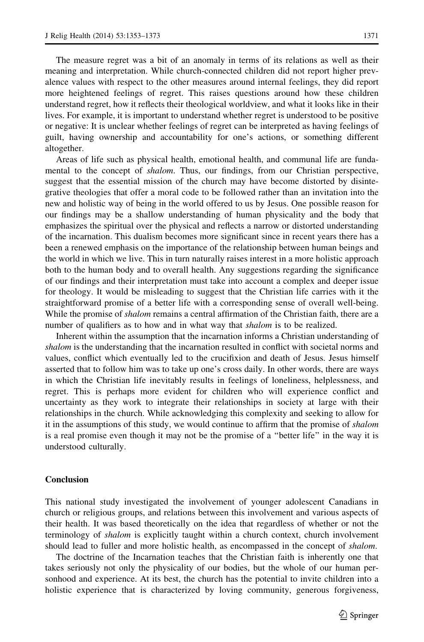The measure regret was a bit of an anomaly in terms of its relations as well as their meaning and interpretation. While church-connected children did not report higher prevalence values with respect to the other measures around internal feelings, they did report more heightened feelings of regret. This raises questions around how these children understand regret, how it reflects their theological worldview, and what it looks like in their lives. For example, it is important to understand whether regret is understood to be positive or negative: It is unclear whether feelings of regret can be interpreted as having feelings of guilt, having ownership and accountability for one's actions, or something different altogether.

Areas of life such as physical health, emotional health, and communal life are fundamental to the concept of *shalom*. Thus, our findings, from our Christian perspective, suggest that the essential mission of the church may have become distorted by disintegrative theologies that offer a moral code to be followed rather than an invitation into the new and holistic way of being in the world offered to us by Jesus. One possible reason for our findings may be a shallow understanding of human physicality and the body that emphasizes the spiritual over the physical and reflects a narrow or distorted understanding of the incarnation. This dualism becomes more significant since in recent years there has a been a renewed emphasis on the importance of the relationship between human beings and the world in which we live. This in turn naturally raises interest in a more holistic approach both to the human body and to overall health. Any suggestions regarding the significance of our findings and their interpretation must take into account a complex and deeper issue for theology. It would be misleading to suggest that the Christian life carries with it the straightforward promise of a better life with a corresponding sense of overall well-being. While the promise of *shalom* remains a central affirmation of the Christian faith, there are a number of qualifiers as to how and in what way that shalom is to be realized.

Inherent within the assumption that the incarnation informs a Christian understanding of shalom is the understanding that the incarnation resulted in conflict with societal norms and values, conflict which eventually led to the crucifixion and death of Jesus. Jesus himself asserted that to follow him was to take up one's cross daily. In other words, there are ways in which the Christian life inevitably results in feelings of loneliness, helplessness, and regret. This is perhaps more evident for children who will experience conflict and uncertainty as they work to integrate their relationships in society at large with their relationships in the church. While acknowledging this complexity and seeking to allow for it in the assumptions of this study, we would continue to affirm that the promise of *shalom* is a real promise even though it may not be the promise of a ''better life'' in the way it is understood culturally.

## Conclusion

This national study investigated the involvement of younger adolescent Canadians in church or religious groups, and relations between this involvement and various aspects of their health. It was based theoretically on the idea that regardless of whether or not the terminology of shalom is explicitly taught within a church context, church involvement should lead to fuller and more holistic health, as encompassed in the concept of shalom.

The doctrine of the Incarnation teaches that the Christian faith is inherently one that takes seriously not only the physicality of our bodies, but the whole of our human personhood and experience. At its best, the church has the potential to invite children into a holistic experience that is characterized by loving community, generous forgiveness,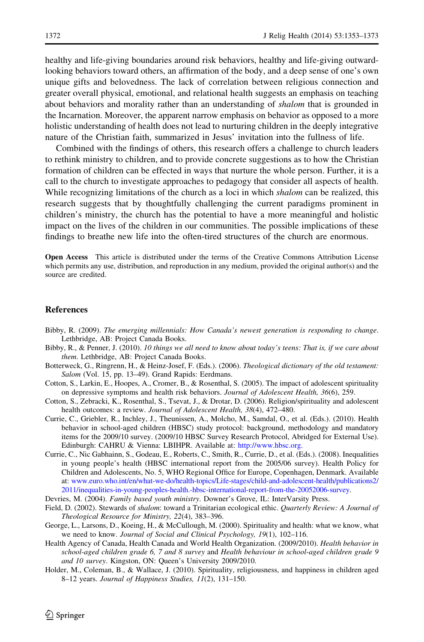<span id="page-19-0"></span>healthy and life-giving boundaries around risk behaviors, healthy and life-giving outwardlooking behaviors toward others, an affirmation of the body, and a deep sense of one's own unique gifts and belovedness. The lack of correlation between religious connection and greater overall physical, emotional, and relational health suggests an emphasis on teaching about behaviors and morality rather than an understanding of *shalom* that is grounded in the Incarnation. Moreover, the apparent narrow emphasis on behavior as opposed to a more holistic understanding of health does not lead to nurturing children in the deeply integrative nature of the Christian faith, summarized in Jesus' invitation into the fullness of life.

Combined with the findings of others, this research offers a challenge to church leaders to rethink ministry to children, and to provide concrete suggestions as to how the Christian formation of children can be effected in ways that nurture the whole person. Further, it is a call to the church to investigate approaches to pedagogy that consider all aspects of health. While recognizing limitations of the church as a loci in which *shalom* can be realized, this research suggests that by thoughtfully challenging the current paradigms prominent in children's ministry, the church has the potential to have a more meaningful and holistic impact on the lives of the children in our communities. The possible implications of these findings to breathe new life into the often-tired structures of the church are enormous.

Open Access This article is distributed under the terms of the Creative Commons Attribution License which permits any use, distribution, and reproduction in any medium, provided the original author(s) and the source are credited.

#### References

- Bibby, R. (2009). The emerging millennials: How Canada's newest generation is responding to change. Lethbridge, AB: Project Canada Books.
- Bibby, R., & Penner, J. (2010). 10 things we all need to know about today's teens: That is, if we care about them. Lethbridge, AB: Project Canada Books.
- Botterweck, G., Ringrenn, H., & Heinz-Josef, F. (Eds.). (2006). Theological dictionary of the old testament: Salom (Vol. 15, pp. 13–49). Grand Rapids: Eerdmans.
- Cotton, S., Larkin, E., Hoopes, A., Cromer, B., & Rosenthal, S. (2005). The impact of adolescent spirituality on depressive symptoms and health risk behaviors. Journal of Adolescent Health, 36(6), 259.
- Cotton, S., Zebracki, K., Rosenthal, S., Tsevat, J., & Drotar, D. (2006). Religion/spirituality and adolescent health outcomes: a review. Journal of Adolescent Health, 38(4), 472–480.
- Currie, C., Griebler, R., Inchley, J., Theunissen, A., Molcho, M., Samdal, O., et al. (Eds.). (2010). Health behavior in school-aged children (HBSC) study protocol: background, methodology and mandatory items for the 2009/10 survey. (2009/10 HBSC Survey Research Protocol, Abridged for External Use). Edinburgh: CAHRU & Vienna: LBIHPR. Available at: <http://www.hbsc.org>.
- Currie, C., Nic Gabhainn, S., Godeau, E., Roberts, C., Smith, R., Currie, D., et al. (Eds.). (2008). Inequalities in young people's health (HBSC international report from the 2005/06 survey). Health Policy for Children and Adolescents, No. 5, WHO Regional Office for Europe, Copenhagen, Denmark. Available at: [www.euro.who.int/en/what-we-do/health-topics/Life-stages/child-and-adolescent-health/publications2/](http://www.euro.who.int/en/what-we-do/health-topics/Life-stages/child-and-adolescent-health/publications2/2011/inequalities-in-young-peoples-health.-hbsc-international-report-from-the-20052006-survey) [2011/inequalities-in-young-peoples-health.-hbsc-international-report-from-the-20052006-survey](http://www.euro.who.int/en/what-we-do/health-topics/Life-stages/child-and-adolescent-health/publications2/2011/inequalities-in-young-peoples-health.-hbsc-international-report-from-the-20052006-survey).
- Devries, M. (2004). Family based youth ministry. Downer's Grove, IL: InterVarsity Press.
- Field, D. (2002). Stewards of *shalom*: toward a Trinitarian ecological ethic. *Quarterly Review: A Journal of* Theological Resource for Ministry, 22(4), 383–396.
- George, L., Larsons, D., Koeing, H., & McCullough, M. (2000). Spirituality and health: what we know, what we need to know. Journal of Social and Clinical Psychology, 19(1), 102-116.
- Health Agency of Canada, Health Canada and World Health Organization. (2009/2010). Health behavior in school-aged children grade 6, 7 and 8 survey and Health behaviour in school-aged children grade 9 and 10 survey. Kingston, ON: Queen's University 2009/2010.
- Holder, M., Coleman, B., & Wallace, J. (2010). Spirituality, religiousness, and happiness in children aged 8–12 years. Journal of Happiness Studies, 11(2), 131–150.